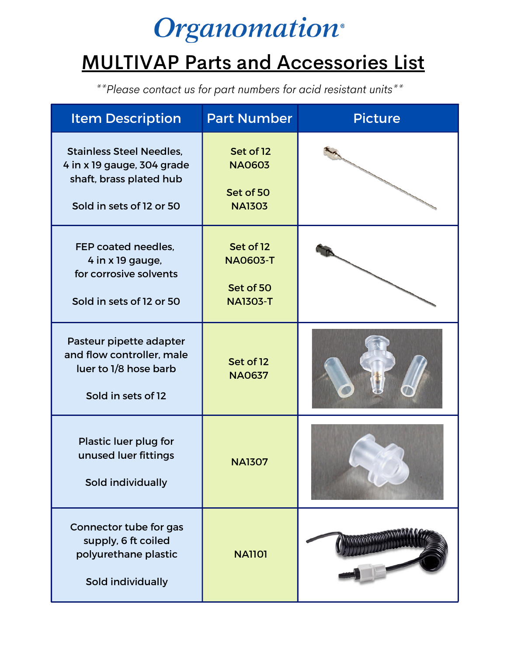## **Organomation**®

## MULTIVAP Parts and Accessories List

*\*\*Please contact us for part numbers for acid resistant units\*\**

| <b>Item Description</b>                                                                                              | <b>Part Number</b>                                           | <b>Picture</b> |
|----------------------------------------------------------------------------------------------------------------------|--------------------------------------------------------------|----------------|
| <b>Stainless Steel Needles,</b><br>4 in x 19 gauge, 304 grade<br>shaft, brass plated hub<br>Sold in sets of 12 or 50 | Set of 12<br><b>NA0603</b><br>Set of 50<br><b>NA1303</b>     |                |
| FEP coated needles,<br>4 in x 19 gauge,<br>for corrosive solvents<br>Sold in sets of 12 or 50                        | Set of 12<br><b>NA0603-T</b><br>Set of 50<br><b>NA1303-T</b> |                |
| Pasteur pipette adapter<br>and flow controller, male<br>luer to 1/8 hose barb<br>Sold in sets of 12                  | Set of 12<br><b>NA0637</b>                                   |                |
| Plastic luer plug for<br>unused luer fittings<br>Sold individually                                                   | <b>NA1307</b>                                                |                |
| Connector tube for gas<br>supply, 6 ft coiled<br>polyurethane plastic<br>Sold individually                           | <b>NA1101</b>                                                |                |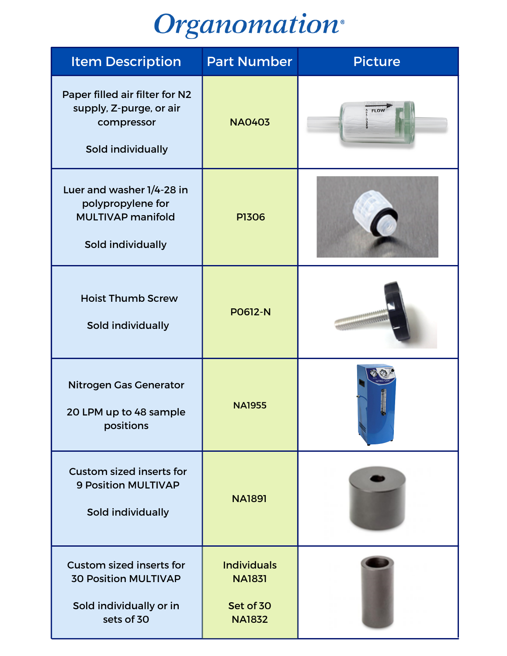## **Organomation**<sup>®</sup>

| <b>Item Description</b>                                                                                 | <b>Part Number</b>                                                | <b>Picture</b> |
|---------------------------------------------------------------------------------------------------------|-------------------------------------------------------------------|----------------|
| Paper filled air filter for N2<br>supply, Z-purge, or air<br>compressor<br>Sold individually            | <b>NA0403</b>                                                     | <b>FLOW</b>    |
| Luer and washer 1/4-28 in<br>polypropylene for<br><b>MULTIVAP manifold</b><br>Sold individually         | <b>P1306</b>                                                      |                |
| <b>Hoist Thumb Screw</b><br>Sold individually                                                           | <b>PO612-N</b>                                                    |                |
| <b>Nitrogen Gas Generator</b><br>20 LPM up to 48 sample<br>positions                                    | <b>NA1955</b>                                                     |                |
| <b>Custom sized inserts for</b><br><b>9 Position MULTIVAP</b><br>Sold individually                      | <b>NA1891</b>                                                     |                |
| <b>Custom sized inserts for</b><br><b>30 Position MULTIVAP</b><br>Sold individually or in<br>sets of 30 | <b>Individuals</b><br><b>NA1831</b><br>Set of 30<br><b>NA1832</b> |                |